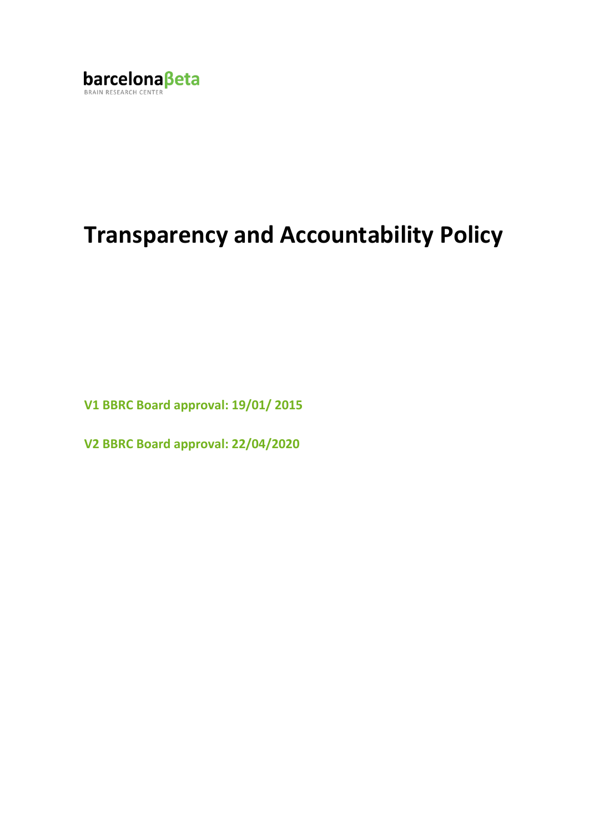

# **Transparency and Accountability Policy**

**V1 BBRC Board approval: 19/01/ 2015**

**V2 BBRC Board approval: 22/04/2020**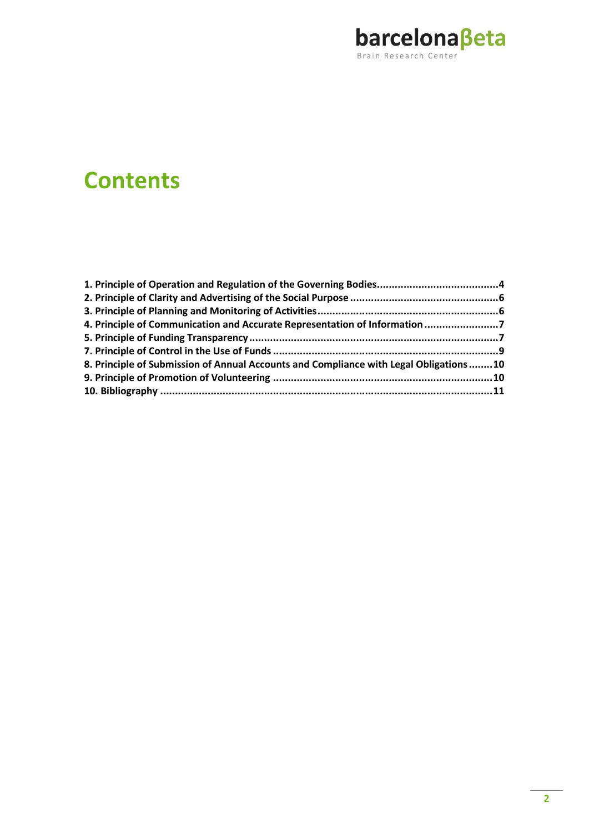

## **Contents**

| 4. Principle of Communication and Accurate Representation of Information 7            |  |
|---------------------------------------------------------------------------------------|--|
|                                                                                       |  |
|                                                                                       |  |
| 8. Principle of Submission of Annual Accounts and Compliance with Legal Obligations10 |  |
|                                                                                       |  |
|                                                                                       |  |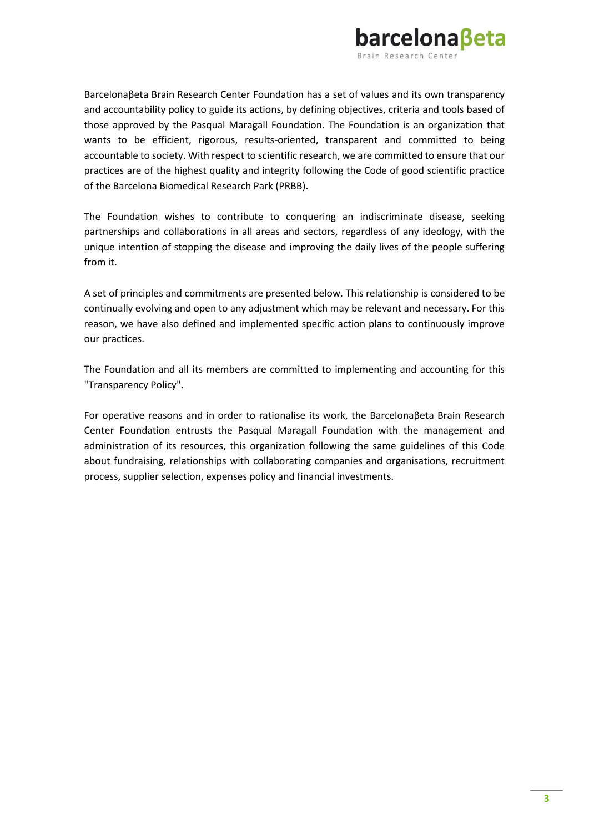

Barcelonaβeta Brain Research Center Foundation has a set of values and its own transparency and accountability policy to guide its actions, by defining objectives, criteria and tools based of those approved by the Pasqual Maragall Foundation. The Foundation is an organization that wants to be efficient, rigorous, results-oriented, transparent and committed to being accountable to society. With respect to scientific research, we are committed to ensure that our practices are of the highest quality and integrity following the Code of good scientific practice of the [Barcelona Biomedical Research Park \(PRBB\).](http://www.prbb.org/)

The Foundation wishes to contribute to conquering an indiscriminate disease, seeking partnerships and collaborations in all areas and sectors, regardless of any ideology, with the unique intention of stopping the disease and improving the daily lives of the people suffering from it.

A set of principles and commitments are presented below. This relationship is considered to be continually evolving and open to any adjustment which may be relevant and necessary. For this reason, we have also defined and implemented specific action plans to continuously improve our practices.

The Foundation and all its members are committed to implementing and accounting for this "Transparency Policy".

For operative reasons and in order to rationalise its work, the Barcelonaβeta Brain Research Center Foundation entrusts the Pasqual Maragall Foundation with the management and administration of its resources, this organization following the same guidelines of this Code about fundraising, relationships with collaborating companies and organisations, recruitment process, supplier selection, expenses policy and financial investments.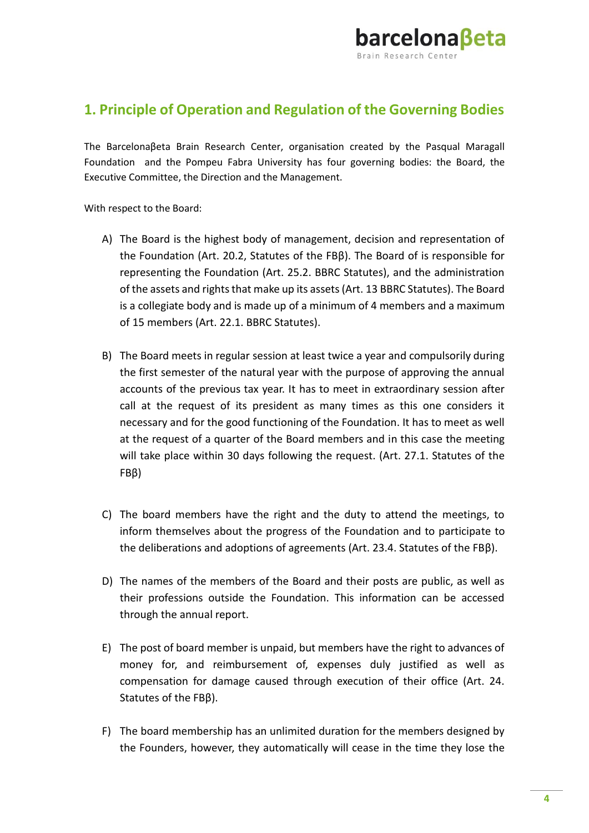

#### <span id="page-3-0"></span>**1. Principle of Operation and Regulation of the Governing Bodies**

The Barcelonaβeta Brain Research Center, organisation created by the Pasqual Maragall Foundation and the Pompeu Fabra University has four governing bodies: the Board, the Executive Committee, the Direction and the Management.

With respect to the Board:

- A) The Board is the highest body of management, decision and representation of the Foundation (Art. 20.2, Statutes of the FBβ). The Board of is responsible for representing the Foundation (Art. 25.2. BBRC Statutes), and the administration of the assets and rights that make up its assets (Art. 13 BBRC Statutes). The Board is a collegiate body and is made up of a minimum of 4 members and a maximum of 15 members (Art. 22.1. BBRC Statutes).
- B) The Board meets in regular session at least twice a year and compulsorily during the first semester of the natural year with the purpose of approving the annual accounts of the previous tax year. It has to meet in extraordinary session after call at the request of its president as many times as this one considers it necessary and for the good functioning of the Foundation. It has to meet as well at the request of a quarter of the Board members and in this case the meeting will take place within 30 days following the request. (Art. 27.1. Statutes of the FBβ)
- C) The board members have the right and the duty to attend the meetings, to inform themselves about the progress of the Foundation and to participate to the deliberations and adoptions of agreements (Art. 23.4. Statutes of the FBβ).
- D) The names of the members of the Board and their posts are public, as well as their professions outside the Foundation. This information can be accessed through the annual report.
- E) The post of board member is unpaid, but members have the right to advances of money for, and reimbursement of, expenses duly justified as well as compensation for damage caused through execution of their office (Art. 24. Statutes of the FBβ).
- F) The board membership has an unlimited duration for the members designed by the Founders, however, they automatically will cease in the time they lose the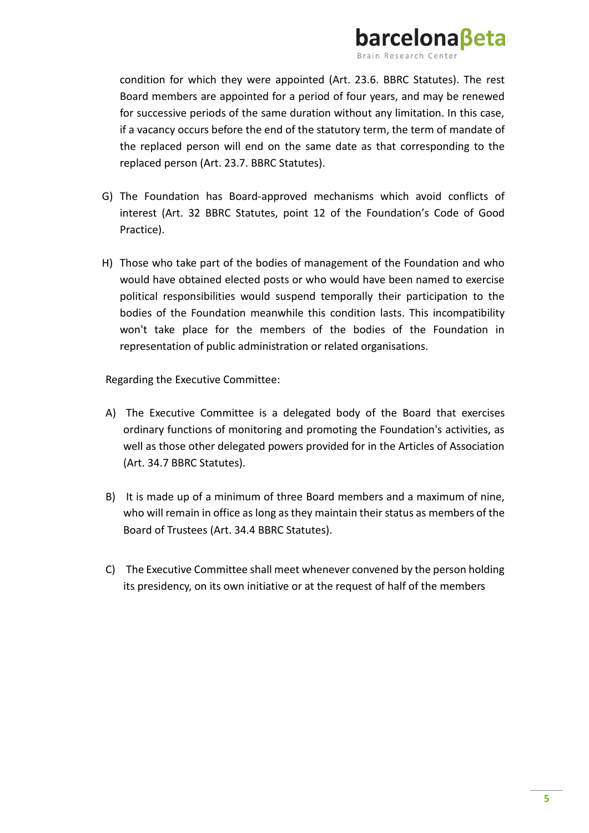

condition for which they were appointed (Art. 23.6. BBRC Statutes). The rest Board members are appointed for a period of four years, and may be renewed for successive periods of the same duration without any limitation. In this case, if a vacancy occurs before the end of the statutory term, the term of mandate of the replaced person will end on the same date as that corresponding to the replaced person (Art. 23.7. BBRC Statutes).

- G) The Foundation has Board-approved mechanisms which avoid conflicts of interest (Art. 32 BBRC Statutes, point 12 of the Foundation's Code of Good Practice).
- H) Those who take part of the bodies of management of the Foundation and who would have obtained elected posts or who would have been named to exercise political responsibilities would suspend temporally their participation to the bodies of the Foundation meanwhile this condition lasts. This incompatibility won't take place for the members of the bodies of the Foundation in representation of public administration or related organisations.

Regarding the Executive Committee:

- A) The Executive Committee is a delegated body of the Board that exercises ordinary functions of monitoring and promoting the Foundation's activities, as well as those other delegated powers provided for in the Articles of Association (Art. 34.7 BBRC Statutes).
- B) It is made up of a minimum of three Board members and a maximum of nine, who will remain in office as long as they maintain their status as members of the Board of Trustees (Art. 34.4 BBRC Statutes).
- C) The Executive Committee shall meet whenever convened by the person holding its presidency, on its own initiative or at the request of half of the members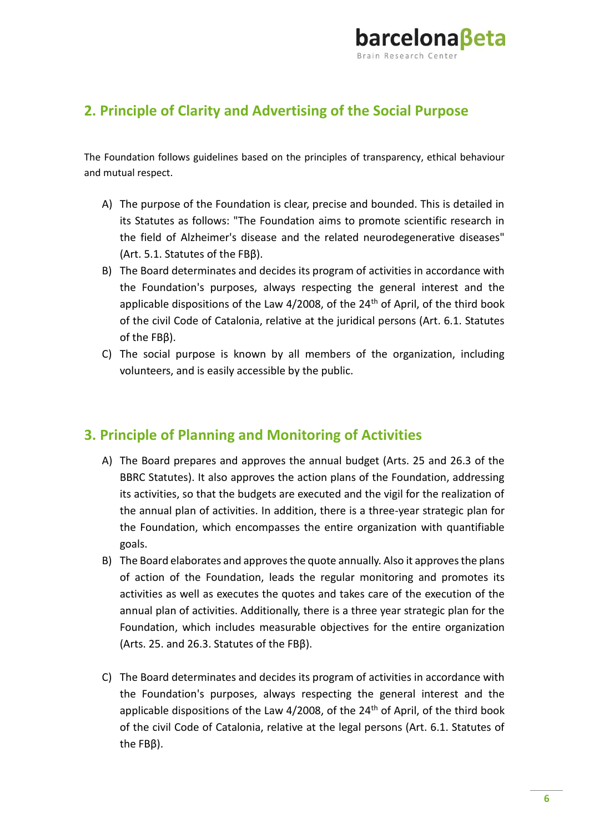

#### <span id="page-5-0"></span>**2. Principle of Clarity and Advertising of the Social Purpose**

The Foundation follows guidelines based on the principles of transparency, ethical behaviour and mutual respect.

- A) The purpose of the Foundation is clear, precise and bounded. This is detailed in its Statutes as follows: "The Foundation aims to promote scientific research in the field of Alzheimer's disease and the related neurodegenerative diseases" (Art. 5.1. Statutes of the FBβ).
- B) The Board determinates and decides its program of activities in accordance with the Foundation's purposes, always respecting the general interest and the applicable dispositions of the Law  $4/2008$ , of the  $24<sup>th</sup>$  of April, of the third book of the civil Code of Catalonia, relative at the juridical persons (Art. 6.1. Statutes of the FBβ).
- C) The social purpose is known by all members of the organization, including volunteers, and is easily accessible by the public.

#### <span id="page-5-1"></span>**3. Principle of Planning and Monitoring of Activities**

- A) The Board prepares and approves the annual budget (Arts. 25 and 26.3 of the BBRC Statutes). It also approves the action plans of the Foundation, addressing its activities, so that the budgets are executed and the vigil for the realization of the annual plan of activities. In addition, there is a three-year strategic plan for the Foundation, which encompasses the entire organization with quantifiable goals.
- B) The Board elaborates and approves the quote annually. Also it approves the plans of action of the Foundation, leads the regular monitoring and promotes its activities as well as executes the quotes and takes care of the execution of the annual plan of activities. Additionally, there is a three year strategic plan for the Foundation, which includes measurable objectives for the entire organization (Arts. 25. and 26.3. Statutes of the FBβ).
- C) The Board determinates and decides its program of activities in accordance with the Foundation's purposes, always respecting the general interest and the applicable dispositions of the Law  $4/2008$ , of the  $24<sup>th</sup>$  of April, of the third book of the civil Code of Catalonia, relative at the legal persons (Art. 6.1. Statutes of the FBβ).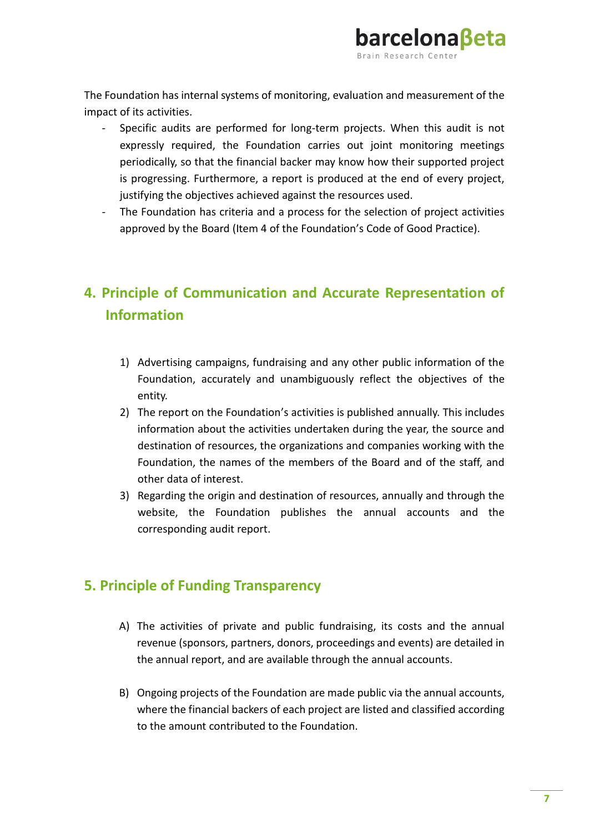

The Foundation has internal systems of monitoring, evaluation and measurement of the impact of its activities.

- Specific audits are performed for long-term projects. When this audit is not expressly required, the Foundation carries out joint monitoring meetings periodically, so that the financial backer may know how their supported project is progressing. Furthermore, a report is produced at the end of every project, justifying the objectives achieved against the resources used.
- The Foundation has criteria and a process for the selection of project activities approved by the Board (Item 4 of the Foundation's Code of Good Practice).

### <span id="page-6-0"></span>**4. Principle of Communication and Accurate Representation of Information**

- 1) Advertising campaigns, fundraising and any other public information of the Foundation, accurately and unambiguously reflect the objectives of the entity.
- 2) The report on the Foundation's activities is published annually. This includes information about the activities undertaken during the year, the source and destination of resources, the organizations and companies working with the Foundation, the names of the members of the Board and of the staff, and other data of interest.
- 3) Regarding the origin and destination of resources, annually and through the website, the Foundation publishes the annual accounts and the corresponding audit report.

#### <span id="page-6-1"></span>**5. Principle of Funding Transparency**

- A) The activities of private and public fundraising, its costs and the annual revenue (sponsors, partners, donors, proceedings and events) are detailed in the annual report, and are available through the annual accounts.
- B) Ongoing projects of the Foundation are made public via the annual accounts, where the financial backers of each project are listed and classified according to the amount contributed to the Foundation.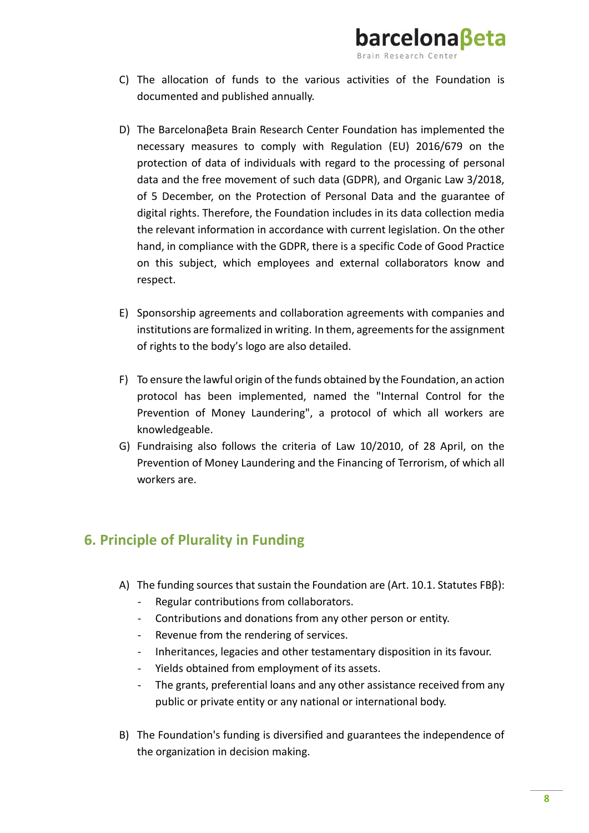

barcelonaßeta

- D) The Barcelonaβeta Brain Research Center Foundation has implemented the necessary measures to comply with Regulation (EU) 2016/679 on the protection of data of individuals with regard to the processing of personal data and the free movement of such data (GDPR), and Organic Law 3/2018, of 5 December, on the Protection of Personal Data and the guarantee of digital rights. Therefore, the Foundation includes in its data collection media the relevant information in accordance with current legislation. On the other hand, in compliance with the GDPR, there is a specific Code of Good Practice on this subject, which employees and external collaborators know and respect.
- E) Sponsorship agreements and collaboration agreements with companies and institutions are formalized in writing. In them, agreements for the assignment of rights to the body's logo are also detailed.
- F) To ensure the lawful origin of the funds obtained by the Foundation, an action protocol has been implemented, named the "Internal Control for the Prevention of Money Laundering", a protocol of which all workers are knowledgeable.
- G) Fundraising also follows the criteria of Law 10/2010, of 28 April, on the Prevention of Money Laundering and the Financing of Terrorism, of which all workers are.

#### **6. Principle of Plurality in Funding**

- A) The funding sources that sustain the Foundation are (Art. 10.1. Statutes FBβ):
	- Regular contributions from collaborators.
	- Contributions and donations from any other person or entity.
	- Revenue from the rendering of services.
	- Inheritances, legacies and other testamentary disposition in its favour.
	- Yields obtained from employment of its assets.
	- The grants, preferential loans and any other assistance received from any public or private entity or any national or international body.
- B) The Foundation's funding is diversified and guarantees the independence of the organization in decision making.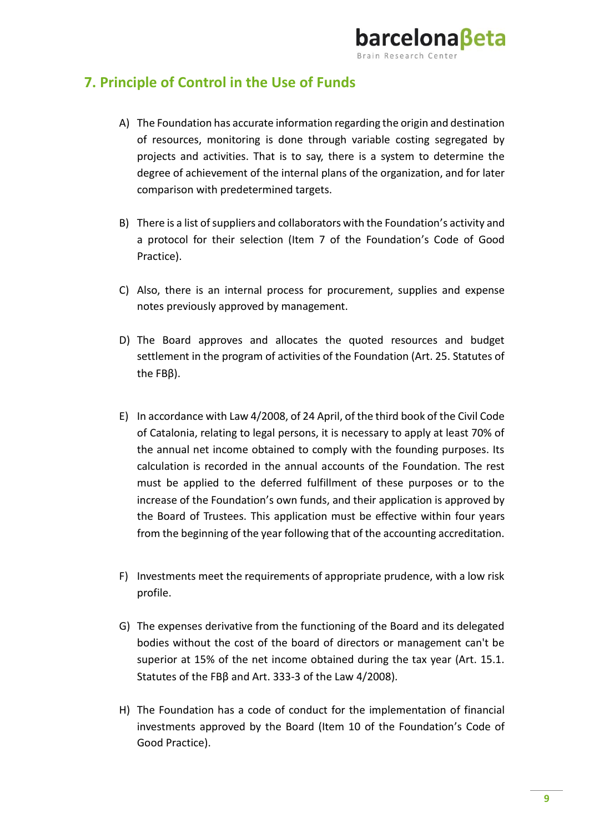#### <span id="page-8-0"></span>**7. Principle of Control in the Use of Funds**

A) The Foundation has accurate information regarding the origin and destination of resources, monitoring is done through variable costing segregated by projects and activities. That is to say, there is a system to determine the degree of achievement of the internal plans of the organization, and for later comparison with predetermined targets.

barcelonaßeta

- B) There is a list of suppliers and collaborators with the Foundation's activity and a protocol for their selection (Item 7 of the Foundation's Code of Good Practice).
- C) Also, there is an internal process for procurement, supplies and expense notes previously approved by management.
- D) The Board approves and allocates the quoted resources and budget settlement in the program of activities of the Foundation (Art. 25. Statutes of the FBβ).
- E) In accordance with Law 4/2008, of 24 April, of the third book of the Civil Code of Catalonia, relating to legal persons, it is necessary to apply at least 70% of the annual net income obtained to comply with the founding purposes. Its calculation is recorded in the annual accounts of the Foundation. The rest must be applied to the deferred fulfillment of these purposes or to the increase of the Foundation's own funds, and their application is approved by the Board of Trustees. This application must be effective within four years from the beginning of the year following that of the accounting accreditation.
- F) Investments meet the requirements of appropriate prudence, with a low risk profile.
- G) The expenses derivative from the functioning of the Board and its delegated bodies without the cost of the board of directors or management can't be superior at 15% of the net income obtained during the tax year (Art. 15.1. Statutes of the FBβ and Art. 333-3 of the Law 4/2008).
- H) The Foundation has a code of conduct for the implementation of financial investments approved by the Board (Item 10 of the Foundation's Code of Good Practice).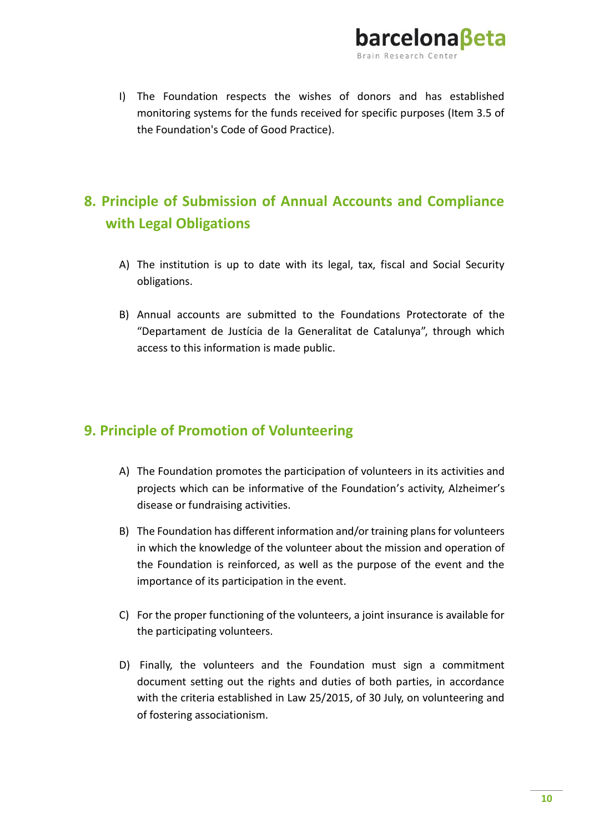

I) The Foundation respects the wishes of donors and has established monitoring systems for the funds received for specific purposes (Item 3.5 of the Foundation's Code of Good Practice).

## <span id="page-9-0"></span>**8. Principle of Submission of Annual Accounts and Compliance with Legal Obligations**

- A) The institution is up to date with its legal, tax, fiscal and Social Security obligations.
- B) Annual accounts are submitted to the Foundations Protectorate of the "Departament de Justícia de la Generalitat de Catalunya", through which access to this information is made public.

#### <span id="page-9-1"></span>**9. Principle of Promotion of Volunteering**

- A) The Foundation promotes the participation of volunteers in its activities and projects which can be informative of the Foundation's activity, Alzheimer's disease or fundraising activities.
- B) The Foundation has different information and/or training plans for volunteers in which the knowledge of the volunteer about the mission and operation of the Foundation is reinforced, as well as the purpose of the event and the importance of its participation in the event.
- C) For the proper functioning of the volunteers, a joint insurance is available for the participating volunteers.
- D) Finally, the volunteers and the Foundation must sign a commitment document setting out the rights and duties of both parties, in accordance with the criteria established in Law 25/2015, of 30 July, on volunteering and of fostering associationism.